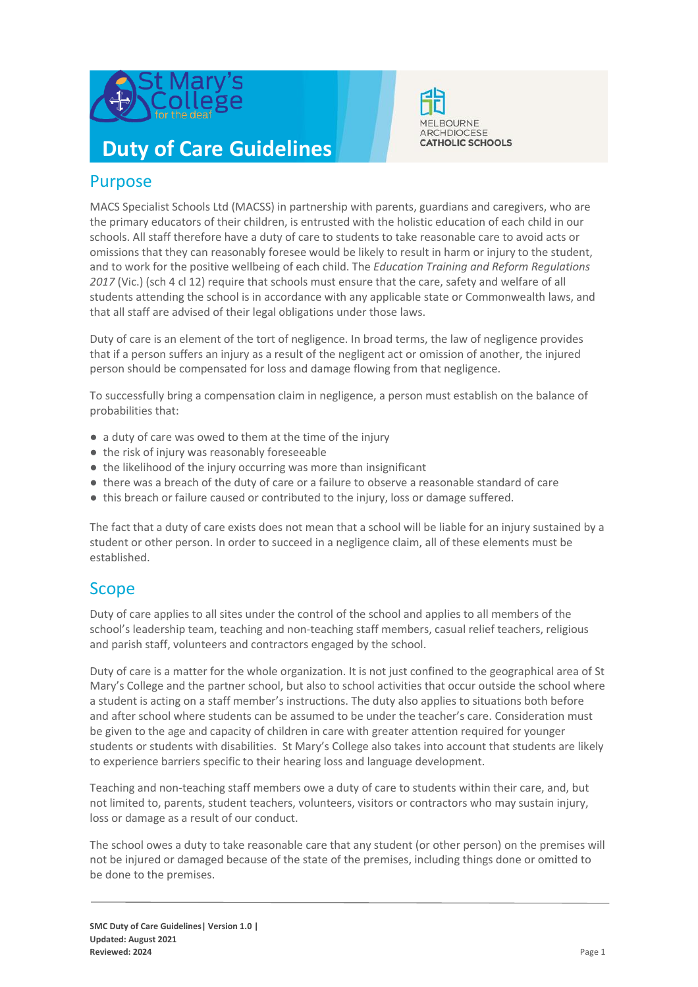

# **Duty of Care Guidelines**



MACS Specialist Schools Ltd (MACSS) in partnership with parents, guardians and caregivers, who are the primary educators of their children, is entrusted with the holistic education of each child in our schools. All staff therefore have a duty of care to students to take reasonable care to avoid acts or omissions that they can reasonably foresee would be likely to result in harm or injury to the student, and to work for the positive wellbeing of each child. The *Education Training and Reform Regulations 2017* (Vic.) (sch 4 cl 12) require that schools must ensure that the care, safety and welfare of all students attending the school is in accordance with any applicable state or Commonwealth laws, and that all staff are advised of their legal obligations under those laws.

**MELBOURNE** ARCHDIOCESE **CATHOLIC SCHOOLS** 

Duty of care is an element of the tort of negligence. In broad terms, the law of negligence provides that if a person suffers an injury as a result of the negligent act or omission of another, the injured person should be compensated for loss and damage flowing from that negligence.

To successfully bring a compensation claim in negligence, a person must establish on the balance of probabilities that:

- a duty of care was owed to them at the time of the injury
- the risk of injury was reasonably foreseeable
- the likelihood of the injury occurring was more than insignificant
- there was a breach of the duty of care or a failure to observe a reasonable standard of care
- this breach or failure caused or contributed to the injury, loss or damage suffered.

The fact that a duty of care exists does not mean that a school will be liable for an injury sustained by a student or other person. In order to succeed in a negligence claim, all of these elements must be established.

## Scope

Duty of care applies to all sites under the control of the school and applies to all members of the school's leadership team, teaching and non-teaching staff members, casual relief teachers, religious and parish staff, volunteers and contractors engaged by the school.

Duty of care is a matter for the whole organization. It is not just confined to the geographical area of St Mary's College and the partner school, but also to school activities that occur outside the school where a student is acting on a staff member's instructions. The duty also applies to situations both before and after school where students can be assumed to be under the teacher's care. Consideration must be given to the age and capacity of children in care with greater attention required for younger students or students with disabilities. St Mary's College also takes into account that students are likely to experience barriers specific to their hearing loss and language development.

Teaching and non-teaching staff members owe a duty of care to students within their care, and, but not limited to, parents, student teachers, volunteers, visitors or contractors who may sustain injury, loss or damage as a result of our conduct.

The school owes a duty to take reasonable care that any student (or other person) on the premises will not be injured or damaged because of the state of the premises, including things done or omitted to be done to the premises.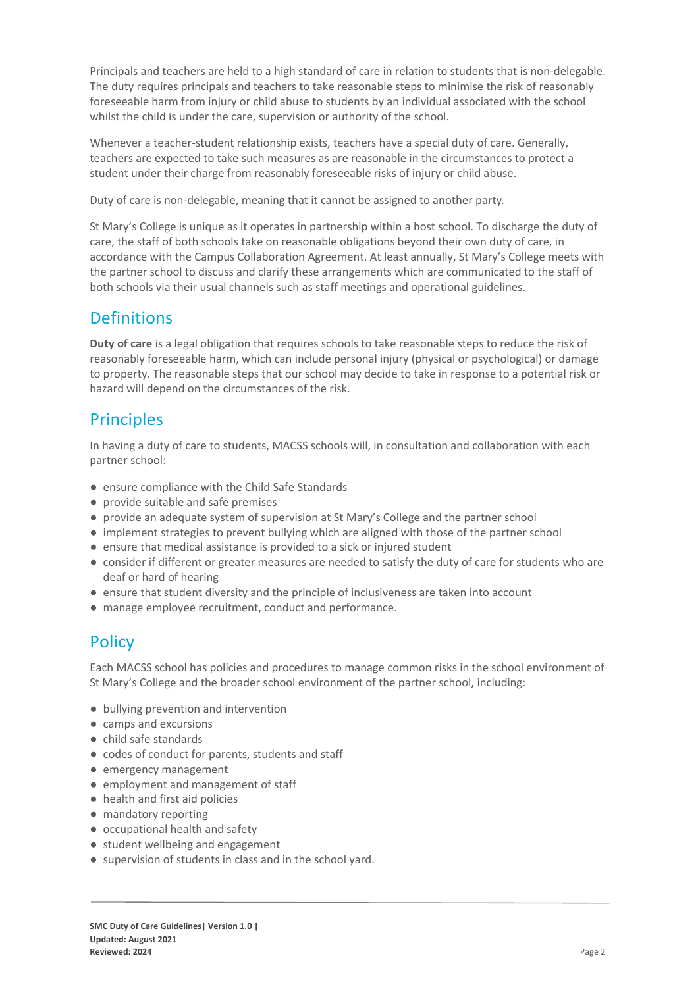Principals and teachers are held to a high standard of care in relation to students that is non-delegable. The duty requires principals and teachers to take reasonable steps to minimise the risk of reasonably foreseeable harm from injury or child abuse to students by an individual associated with the school whilst the child is under the care, supervision or authority of the school.

Whenever a teacher-student relationship exists, teachers have a special duty of care. Generally, teachers are expected to take such measures as are reasonable in the circumstances to protect a student under their charge from reasonably foreseeable risks of injury or child abuse.

Duty of care is non-delegable, meaning that it cannot be assigned to another party.

St Mary's College is unique as it operates in partnership within a host school. To discharge the duty of care, the staff of both schools take on reasonable obligations beyond their own duty of care, in accordance with the Campus Collaboration Agreement. At least annually, St Mary's College meets with the partner school to discuss and clarify these arrangements which are communicated to the staff of both schools via their usual channels such as staff meetings and operational guidelines.

#### **Definitions**

**Duty of care** is a legal obligation that requires schools to take reasonable steps to reduce the risk of reasonably foreseeable harm, which can include personal injury (physical or psychological) or damage to property. The reasonable steps that our school may decide to take in response to a potential risk or hazard will depend on the circumstances of the risk.

### **Principles**

In having a duty of care to students, MACSS schools will, in consultation and collaboration with each partner school:

- ensure compliance with the Child Safe Standards
- provide suitable and safe premises
- provide an adequate system of supervision at St Mary's College and the partner school
- implement strategies to prevent bullying which are aligned with those of the partner school
- ensure that medical assistance is provided to a sick or injured student
- consider if different or greater measures are needed to satisfy the duty of care for students who are deaf or hard of hearing
- ensure that student diversity and the principle of inclusiveness are taken into account
- manage employee recruitment, conduct and performance.

## **Policy**

Each MACSS school has policies and procedures to manage common risks in the school environment of St Mary's College and the broader school environment of the partner school, including:

- bullying prevention and intervention
- camps and excursions
- child safe standards
- codes of conduct for parents, students and staff
- emergency management
- employment and management of staff
- health and first aid policies
- mandatory reporting
- occupational health and safety
- student wellbeing and engagement
- supervision of students in class and in the school yard.